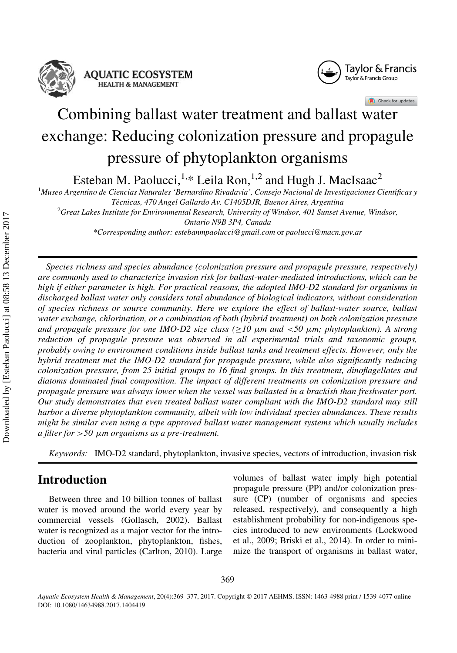

#### **AQUATIC ECOSYSTEM HEALTH & MANAGEMENT**



Check for updates

# Combining ballast water treatment and ballast water exchange: Reducing colonization pressure and propagule pressure of phytoplankton organisms

Esteban M. Paolucci,<sup>1,\*</sup> Leila Ron,<sup>1,2</sup> and Hugh J. MacIsaac<sup>2</sup>

<sup>1</sup>Museo Argentino de Ciencias Naturales 'Bernardino Rivadavia', Consejo Nacional de Investigaciones Científicas y Técnicas, 470 Angel Gallardo Av. C1405DJR, Buenos Aires, Argentina

 ${}^{2}$ Great Lakes Institute for Environmental Research, University of Windsor, 401 Sunset Avenue, Windsor, Ontario N9B 3P4, Canada

\*Corresponding author: estebanmpaolucci@gmail.com or paolucci@macn.gov.ar

Species richness and species abundance (colonization pressure and propagule pressure, respectively) are commonly used to characterize invasion risk for ballast-water-mediated introductions, which can be high if either parameter is high. For practical reasons, the adopted IMO-D2 standard for organisms in discharged ballast water only considers total abundance of biological indicators, without consideration of species richness or source community. Here we explore the effect of ballast-water source, ballast water exchange, chlorination, or a combination of both (hybrid treatment) on both colonization pressure and propagule pressure for one IMO-D2 size class ( $\geq$ 10  $\mu$ m and <50  $\mu$ m; phytoplankton). A strong reduction of propagule pressure was observed in all experimental trials and taxonomic groups, probably owing to environment conditions inside ballast tanks and treatment effects. However, only the hybrid treatment met the IMO-D2 standard for propagule pressure, while also significantly reducing colonization pressure, from 25 initial groups to 16 final groups. In this treatment, dinoflagellates and diatoms dominated final composition. The impact of different treatments on colonization pressure and propagule pressure was always lower when the vessel was ballasted in a brackish than freshwater port. Our study demonstrates that even treated ballast water compliant with the IMO-D2 standard may still harbor a diverse phytoplankton community, albeit with low individual species abundances. These results might be similar even using a type approved ballast water management systems which usually includes a filter for  $> 50 \mu m$  organisms as a pre-treatment.

Keywords: IMO-D2 standard, phytoplankton, invasive species, vectors of introduction, invasion risk

## Introduction

Between three and 10 billion tonnes of ballast water is moved around the world every year by commercial vessels (Gollasch, 2002). Ballast water is recognized as a major vector for the introduction of zooplankton, phytoplankton, fishes, bacteria and viral particles (Carlton, 2010). Large

volumes of ballast water imply high potential propagule pressure (PP) and/or colonization pressure (CP) (number of organisms and species released, respectively), and consequently a high establishment probability for non-indigenous species introduced to new environments (Lockwood et al., 2009; Briski et al., 2014). In order to minimize the transport of organisms in ballast water,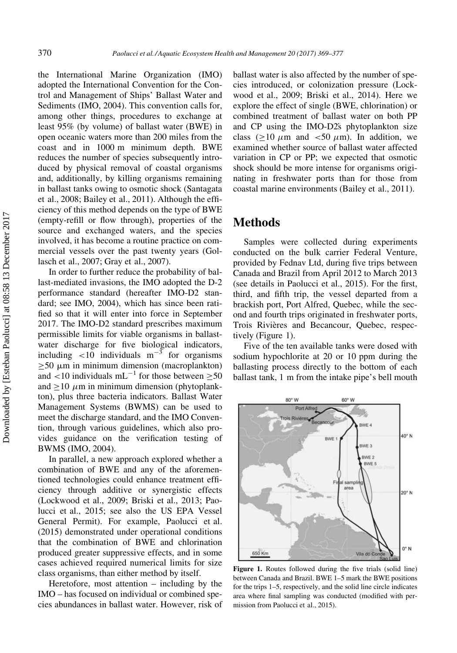the International Marine Organization (IMO) adopted the International Convention for the Control and Management of Ships' Ballast Water and Sediments (IMO, 2004). This convention calls for, among other things, procedures to exchange at least 95% (by volume) of ballast water (BWE) in open oceanic waters more than 200 miles from the coast and in 1000 m minimum depth. BWE reduces the number of species subsequently introduced by physical removal of coastal organisms and, additionally, by killing organisms remaining in ballast tanks owing to osmotic shock (Santagata et al., 2008; Bailey et al., 2011). Although the efficiency of this method depends on the type of BWE (empty-refill or flow through), properties of the source and exchanged waters, and the species involved, it has become a routine practice on commercial vessels over the past twenty years (Gollasch et al., 2007; Gray et al., 2007).

In order to further reduce the probability of ballast-mediated invasions, the IMO adopted the D-2 performance standard (hereafter IMO-D2 standard; see IMO, 2004), which has since been ratified so that it will enter into force in September 2017. The IMO-D2 standard prescribes maximum permissible limits for viable organisms in ballastwater discharge for five biological indicators, including  $\langle 10 \rangle$  individuals m<sup>-3</sup> for organisms  $\geq$ 50  $\mu$ m in minimum dimension (macroplankton) and <10 individuals  $mL^{-1}$  for those between  $\geq 50$ and  $\geq$ 10  $\mu$ m in minimum dimension (phytoplankton), plus three bacteria indicators. Ballast Water Management Systems (BWMS) can be used to meet the discharge standard, and the IMO Convention, through various guidelines, which also provides guidance on the verification testing of BWMS (IMO, 2004).

In parallel, a new approach explored whether a combination of BWE and any of the aforementioned technologies could enhance treatment efficiency through additive or synergistic effects (Lockwood et al., 2009; Briski et al., 2013; Paolucci et al., 2015; see also the US EPA Vessel General Permit). For example, Paolucci et al. (2015) demonstrated under operational conditions that the combination of BWE and chlorination produced greater suppressive effects, and in some cases achieved required numerical limits for size class organisms, than either method by itself.

Heretofore, most attention – including by the IMO – has focused on individual or combined species abundances in ballast water. However, risk of ballast water is also affected by the number of species introduced, or colonization pressure (Lockwood et al., 2009; Briski et al., 2014). Here we explore the effect of single (BWE, chlorination) or combined treatment of ballast water on both PP and CP using the IMO-D2s phytoplankton size class ( $\geq$ 10  $\mu$ m and <50  $\mu$ m). In addition, we examined whether source of ballast water affected variation in CP or PP; we expected that osmotic shock should be more intense for organisms originating in freshwater ports than for those from coastal marine environments (Bailey et al., 2011).

### Methods

Samples were collected during experiments conducted on the bulk carrier Federal Venture, provided by Fednav Ltd, during five trips between Canada and Brazil from April 2012 to March 2013 (see details in Paolucci et al., 2015). For the first, third, and fifth trip, the vessel departed from a brackish port, Port Alfred, Quebec, while the second and fourth trips originated in freshwater ports, Trois Rivières and Becancour, Quebec, respectively (Figure 1).

Five of the ten available tanks were dosed with sodium hypochlorite at 20 or 10 ppm during the ballasting process directly to the bottom of each ballast tank, 1 m from the intake pipe's bell mouth



Figure 1. Routes followed during the five trials (solid line) between Canada and Brazil. BWE 1–5 mark the BWE positions for the trips 1–5, respectively, and the solid line circle indicates area where final sampling was conducted (modified with permission from Paolucci et al., 2015).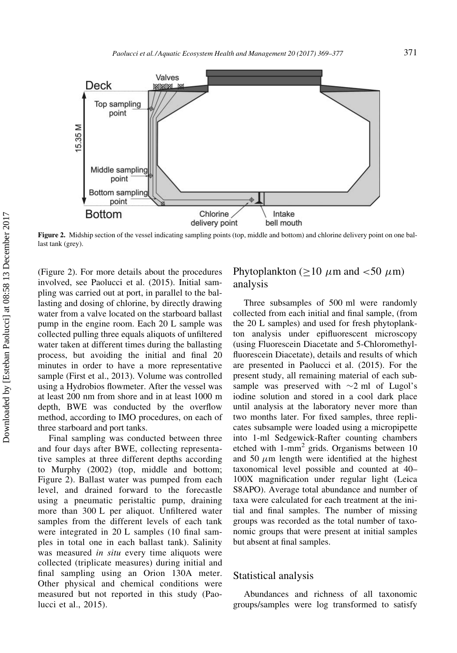

Figure 2. Midship section of the vessel indicating sampling points (top, middle and bottom) and chlorine delivery point on one ballast tank (grey).

(Figure 2). For more details about the procedures involved, see Paolucci et al. (2015). Initial sampling was carried out at port, in parallel to the ballasting and dosing of chlorine, by directly drawing water from a valve located on the starboard ballast pump in the engine room. Each 20 L sample was collected pulling three equals aliquots of unfiltered water taken at different times during the ballasting process, but avoiding the initial and final 20 minutes in order to have a more representative sample (First et al., 2013). Volume was controlled using a Hydrobios flowmeter. After the vessel was at least 200 nm from shore and in at least 1000 m depth, BWE was conducted by the overflow method, according to IMO procedures, on each of three starboard and port tanks.

Final sampling was conducted between three and four days after BWE, collecting representative samples at three different depths according to Murphy (2002) (top, middle and bottom; Figure 2). Ballast water was pumped from each level, and drained forward to the forecastle using a pneumatic peristaltic pump, draining more than 300 L per aliquot. Unfiltered water samples from the different levels of each tank were integrated in 20 L samples (10 final samples in total one in each ballast tank). Salinity was measured *in situ* every time aliquots were collected (triplicate measures) during initial and final sampling using an Orion 130A meter. Other physical and chemical conditions were measured but not reported in this study (Paolucci et al., 2015).

#### Phytoplankton ( $\geq$ 10  $\mu$ m and <50  $\mu$ m) analysis

Three subsamples of 500 ml were randomly collected from each initial and final sample, (from the 20 L samples) and used for fresh phytoplankton analysis under epifluorescent microscopy (using Fluorescein Diacetate and 5-Chloromethylfluorescein Diacetate), details and results of which are presented in Paolucci et al. (2015). For the present study, all remaining material of each subsample was preserved with  $\sim$ 2 ml of Lugol's iodine solution and stored in a cool dark place until analysis at the laboratory never more than two months later. For fixed samples, three replicates subsample were loaded using a micropipette into 1-ml Sedgewick-Rafter counting chambers etched with  $1$ -mm<sup>2</sup> grids. Organisms between 10 and 50  $\mu$ m length were identified at the highest taxonomical level possible and counted at 40– 100X magnification under regular light (Leica S8APO). Average total abundance and number of taxa were calculated for each treatment at the initial and final samples. The number of missing groups was recorded as the total number of taxonomic groups that were present at initial samples but absent at final samples.

#### Statistical analysis

Abundances and richness of all taxonomic groups/samples were log transformed to satisfy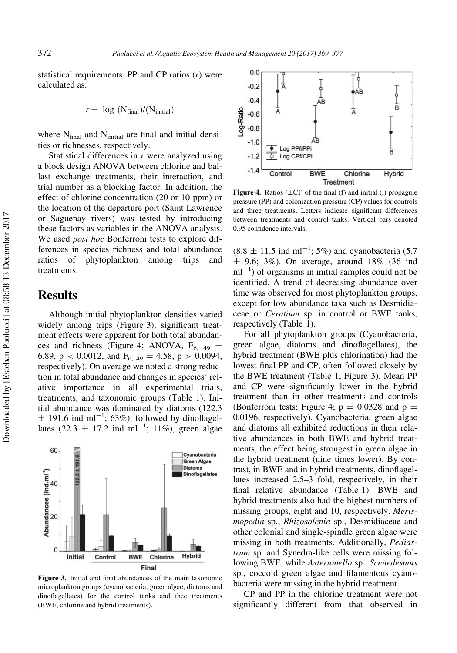statistical requirements. PP and CP ratios  $(r)$  were calculated as:

$$
r = \log (N_{final})/(N_{initial})
$$

where  $N_{final}$  and  $N_{initial}$  are final and initial densities or richnesses, respectively.

Statistical differences in  $r$  were analyzed using a block design ANOVA between chlorine and ballast exchange treatments, their interaction, and trial number as a blocking factor. In addition, the effect of chlorine concentration (20 or 10 ppm) or the location of the departure port (Saint Lawrence or Saguenay rivers) was tested by introducing these factors as variables in the ANOVA analysis. We used *post hoc* Bonferroni tests to explore differences in species richness and total abundance ratios of phytoplankton among trips and treatments.

#### Results

Although initial phytoplankton densities varied widely among trips (Figure 3), significant treatment effects were apparent for both total abundances and richness (Figure 4; ANOVA,  $F_{6, 49} =$ 6.89,  $p < 0.0012$ , and  $F_{6, 49} = 4.58$ ,  $p > 0.0094$ , respectively). On average we noted a strong reduction in total abundance and changes in species' relative importance in all experimental trials, treatments, and taxonomic groups (Table 1). Initial abundance was dominated by diatoms (122.3  $\pm$  191.6 ind ml<sup>-1</sup>; 63%), followed by dinoflagellates  $(22.3 \pm 17.2 \text{ ind } \text{ml}^{-1}; 11\%)$ , green algae



Figure 3. Initial and final abundances of the main taxonomic microplankton groups (cyanobacteria, green algae, diatoms and dinoflagellates) for the control tanks and thee treatments (BWE, chlorine and hybrid treatments).



Figure 4. Ratios  $(\pm C I)$  of the final (f) and initial (i) propagule pressure (PP) and colonization pressure (CP) values for controls and three treatments. Letters indicate significant differences between treatments and control tanks. Vertical bars denoted 0.95 confidence intervals.

 $(8.8 \pm 11.5 \text{ ind m}^{-1}; 5\%)$  and cyanobacteria (5.7)  $\pm$  9.6; 3%). On average, around 18% (36 ind  $ml^{-1}$ ) of organisms in initial samples could not be identified. A trend of decreasing abundance over time was observed for most phytoplankton groups, except for low abundance taxa such as Desmidiaceae or Ceratium sp. in control or BWE tanks, respectively (Table 1).

For all phytoplankton groups (Cyanobacteria, green algae, diatoms and dinoflagellates), the hybrid treatment (BWE plus chlorination) had the lowest final PP and CP, often followed closely by the BWE treatment (Table 1, Figure 3). Mean PP and CP were significantly lower in the hybrid treatment than in other treatments and controls (Bonferroni tests; Figure 4;  $p = 0.0328$  and  $p =$ 0.0196, respectively). Cyanobacteria, green algae and diatoms all exhibited reductions in their relative abundances in both BWE and hybrid treatments, the effect being strongest in green algae in the hybrid treatment (nine times lower). By contrast, in BWE and in hybrid treatments, dinoflagellates increased 2.5–3 fold, respectively, in their final relative abundance (Table 1). BWE and hybrid treatments also had the highest numbers of missing groups, eight and 10, respectively. Merismopedia sp., Rhizosolenia sp., Desmidiaceae and other colonial and single-spindle green algae were missing in both treatments. Additionally, Pediastrum sp. and Synedra-like cells were missing following BWE, while *Asterionella* sp., *Scenedesmus* sp., coccoid green algae and filamentous cyanobacteria were missing in the hybrid treatment.

CP and PP in the chlorine treatment were not significantly different from that observed in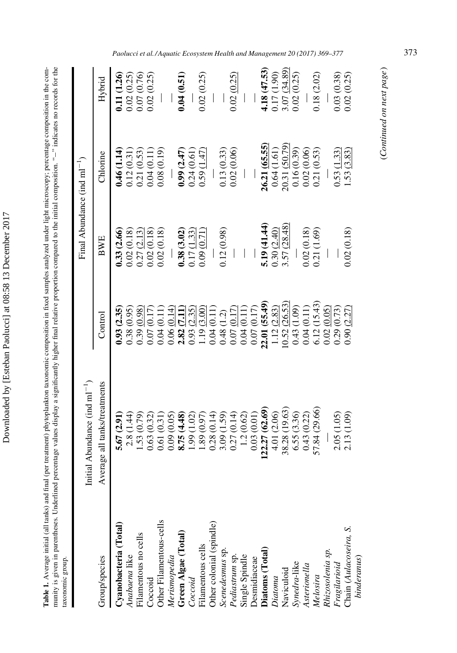Downloaded by [Esteban Paolucci] at 08:58 13 December 2017 Downloaded by [Esteban Paolucci] at 08:58 13 December 2017 Table 1. Average initial (all tanks) and final (per treatment) phytoplankton taxonomic composition in fixed samples analyzed under light microscopy; percentage composition in the community is given in parentheses. Underlined percentage values display a significantly higher final relative proportion compared to the initial composition. "--" indicates no records for the ¡" indicates no records for the Table 1. Average initial (all tanks) and final (per treatment) phytoplankton taxonomic composition in fixed samples analyzed under light microscopy; percentage composition in the community is given in parentheses. Underlined percentage values display a significantly higher final relative proportion compared to the initial composition. " taxonomic group. taxonomic group.

|                                                  | Initial Abundance (ind $ml^{-1}$ )                                          |                                                                                                                                                                                                                                                                         | Final Abundance (ind $ml^{-1}$ )                                                                                |                                                                                                                                                                                                                                              |                                                                                               |
|--------------------------------------------------|-----------------------------------------------------------------------------|-------------------------------------------------------------------------------------------------------------------------------------------------------------------------------------------------------------------------------------------------------------------------|-----------------------------------------------------------------------------------------------------------------|----------------------------------------------------------------------------------------------------------------------------------------------------------------------------------------------------------------------------------------------|-----------------------------------------------------------------------------------------------|
| Group/species                                    | Average all tanks/treatments                                                | Control                                                                                                                                                                                                                                                                 | BWE                                                                                                             | Chlorine                                                                                                                                                                                                                                     | Hybrid                                                                                        |
| Cyanobacteria (Total)                            | 5.67(2.91)                                                                  | 0.93(2.35)                                                                                                                                                                                                                                                              | 0.33(2.66)                                                                                                      | 0.46(1.14)                                                                                                                                                                                                                                   | 0.11 (1.26)                                                                                   |
| Anabaena like                                    | 2.8(1.44)                                                                   |                                                                                                                                                                                                                                                                         |                                                                                                                 |                                                                                                                                                                                                                                              | $\begin{array}{c} 0.02\ (0.25) \\ 0.07\ (0.76) \\ 0.02\ (0.25) \end{array}$                   |
| Filamentous no cells                             | 1.53(0.79)                                                                  |                                                                                                                                                                                                                                                                         |                                                                                                                 |                                                                                                                                                                                                                                              |                                                                                               |
| Coccoid                                          | 0.63(0.32)                                                                  |                                                                                                                                                                                                                                                                         |                                                                                                                 |                                                                                                                                                                                                                                              |                                                                                               |
| Other Filamentous-cells                          | 0.61(0.31)                                                                  | $\begin{array}{l} 0.38\ 0.95 \\ 0.39\ 0.017 \\ 0.07\ 0.11 \\ 0.08\ 0.017 \\ 0.07\ 0.11 \\ 0.08\ 0.01 \\ 0.07\ 0.01 \\ 0.08\ 0.01 \\ 0.09\ 0.01 \\ 0.01\ 0.01 \\ 0.01\ 0.01 \\ 0.02\ 0.01 \\ 0.03\ 0.01 \\ 0.04\ 0.01 \\ 0.00\ 0.01\ 0.01 \\ 0.01\ 0.02\ 0.01 \\ 0.04\ $ | $\begin{array}{c} 0.02 \; (0.18) \\ 0.27 \; (\underline{2.13}) \\ 0.02 \; (0.18) \\ 0.02 \; (0.18) \end{array}$ | $\begin{array}{c} 0.12\ (0.31) \\ 0.21\ (0.53) \\ 0.04\ (0.11) \\ 0.08\ (0.19) \end{array}$                                                                                                                                                  |                                                                                               |
|                                                  | 0.09(0.05)                                                                  |                                                                                                                                                                                                                                                                         |                                                                                                                 |                                                                                                                                                                                                                                              |                                                                                               |
| Merismopedia<br>Green Algae (Total)              | (4.48)<br>8.75                                                              |                                                                                                                                                                                                                                                                         | 0.38(3.02)                                                                                                      | 0.99(2.47)                                                                                                                                                                                                                                   | 0.04(0.51)                                                                                    |
| Coccoid                                          | (1.02)<br>1.99                                                              |                                                                                                                                                                                                                                                                         | 0.17(1.33)                                                                                                      | 0.24(0.61)                                                                                                                                                                                                                                   |                                                                                               |
| Filamentous cells                                |                                                                             |                                                                                                                                                                                                                                                                         | 0.09(0.71)                                                                                                      | 0.59(1.47)                                                                                                                                                                                                                                   | 0.02(0.25)                                                                                    |
| Other colonial (spindle)                         |                                                                             |                                                                                                                                                                                                                                                                         |                                                                                                                 |                                                                                                                                                                                                                                              |                                                                                               |
| Scenedesmus sp.                                  | $\begin{array}{c} 1.89\ (0.97) \\ 0.28\ (0.14) \\ 3.09\ (1.59) \end{array}$ |                                                                                                                                                                                                                                                                         | 0.12(0.98)                                                                                                      | 0.13(0.33)                                                                                                                                                                                                                                   |                                                                                               |
| Pediastrum sp.<br>Single Spindle<br>Desmidiaceae | 0.27(0.14)                                                                  |                                                                                                                                                                                                                                                                         |                                                                                                                 | 0.02(0.06)                                                                                                                                                                                                                                   | 0.02(0.25)                                                                                    |
|                                                  | 1.2(0.62)                                                                   |                                                                                                                                                                                                                                                                         |                                                                                                                 |                                                                                                                                                                                                                                              |                                                                                               |
|                                                  | 0.03(0.01)                                                                  |                                                                                                                                                                                                                                                                         |                                                                                                                 |                                                                                                                                                                                                                                              |                                                                                               |
| Diatoms (Total)                                  | 22.27 (62.69)                                                               |                                                                                                                                                                                                                                                                         |                                                                                                                 |                                                                                                                                                                                                                                              | 4.18 (47.53)                                                                                  |
| $\label{eq:1} Diatoma$                           | 4.01 (2.06)                                                                 |                                                                                                                                                                                                                                                                         | 5.19 (41.44)<br>0.30 (2.40)<br>3.57 (28.48)                                                                     |                                                                                                                                                                                                                                              |                                                                                               |
| Naviculoid                                       | 38.28 (19.63)                                                               |                                                                                                                                                                                                                                                                         |                                                                                                                 |                                                                                                                                                                                                                                              | $\begin{array}{c} 0.17 \,(1.90) \\ 3.07 \,\,(\underline{34.89}) \\ 0.02 \,(0.25) \end{array}$ |
| Synedra-like                                     | 6.55(3.36)                                                                  |                                                                                                                                                                                                                                                                         |                                                                                                                 |                                                                                                                                                                                                                                              |                                                                                               |
| Asterionella                                     | 0.43(0.22)                                                                  |                                                                                                                                                                                                                                                                         | 0.02(0.18)                                                                                                      |                                                                                                                                                                                                                                              |                                                                                               |
| Melosira                                         | 57.84 (29.66)                                                               |                                                                                                                                                                                                                                                                         | 0.21(1.69)                                                                                                      | $\begin{array}{l} \textbf{26.31} \ (\underline{65.55}) \\ \textbf{0.64} \ (1.61) \\ \textbf{0.64} \ (1.61) \\ \textbf{20.31} \ (\underline{50.79}) \\ \textbf{0.16} \ (0.39) \\ \textbf{0.2} \ (0.06) \\ \textbf{0.21} \ (0.53) \end{array}$ | 0.18(2.02)                                                                                    |
| Rhizosolenia sp.                                 |                                                                             |                                                                                                                                                                                                                                                                         |                                                                                                                 |                                                                                                                                                                                                                                              |                                                                                               |
|                                                  | 2.05(1.05)                                                                  | 0.29(0.73)                                                                                                                                                                                                                                                              |                                                                                                                 | 0.53(1.33)                                                                                                                                                                                                                                   | 0.03(0.38)                                                                                    |
| Fragilarioid<br>Chain (Aulacoseira, S.           | 2.13(1.09)                                                                  | (2.27)<br>0.90                                                                                                                                                                                                                                                          | 0.02(0.18)                                                                                                      | .53(3.83)                                                                                                                                                                                                                                    | 0.02(0.25)                                                                                    |
| binderanus)                                      |                                                                             |                                                                                                                                                                                                                                                                         |                                                                                                                 |                                                                                                                                                                                                                                              |                                                                                               |

Paolucci et al./ Aquatic Ecosystem Health and Management 20 (2017) 369-377 373

(Continued on next page)

(Continued on next page)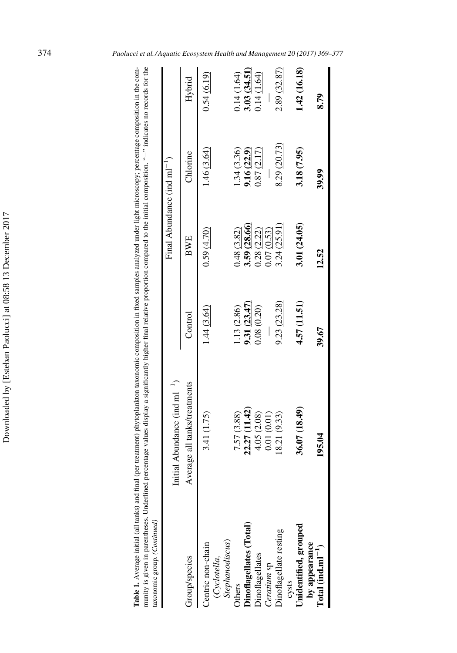| .<br>Com<br>croscopy: percentage<br>int mannences<br><u>ו המסוו</u><br>under!<br>read the bell utures beaution to<br>i<br>t phytoplankton tayonomy.<br>er treatmer<br>j<br>$\ddot{\phantom{a}}$<br>$+$ an kolon $-$ | <u>ine</u><br>ç<br><b>CANOPA CA</b><br>dicatae no<br>$\mathbf{on.} \mathrel{``-} \mathrel{''} \mathbf{no}$<br>$\sim$<br>$\sim$ mored to the initial $\sim$<br>tly higher final relative<br>j<br>$\cdots$<br>्<br>vointas<br>i<br>Cab | ł          |  |
|---------------------------------------------------------------------------------------------------------------------------------------------------------------------------------------------------------------------|--------------------------------------------------------------------------------------------------------------------------------------------------------------------------------------------------------------------------------------|------------|--|
| ξ<br>in hin                                                                                                                                                                                                         | intity is disconsinguithance.                                                                                                                                                                                                        | Cast Assoc |  |

| $\mathcal{L} = \mathcal{L} - \mathcal{L} = \mathcal{L} - \mathcal{L} = \mathcal{L} - \mathcal{L} = \mathcal{L} - \mathcal{L}$ |                                    |              |                                  |              |                                 |
|-------------------------------------------------------------------------------------------------------------------------------|------------------------------------|--------------|----------------------------------|--------------|---------------------------------|
|                                                                                                                               | Initial Abundance (ind $ml^{-1}$ ) |              | Final Abundance (ind $ml^{-1}$ ) |              |                                 |
| droup/species                                                                                                                 | Average all tanks/treatments       | Control      | BWE                              | Chlorine     | Hybrid                          |
| $\label{eq:step1} {\it Step handiscus})$<br>Centric non-chain<br>(Cyclotella,                                                 | 3.41 (1.75)                        | 1.44(3.64)   | 0.59(4.70)                       | 1.46(3.64)   | 0.54(6.19)                      |
| <b>Others</b>                                                                                                                 | 7.57 (3.88)                        | .13(2.86)    | 0.48 (3.82)                      | 1.34(3.36)   | 14 (1.64)                       |
| Dinoflagellates (Total)                                                                                                       | 22.27 (11.42)                      | 9.31(23.47)  | 3.59 (28.66)                     | 9.16(22.9)   | 3.03 $(34.51)$<br>0.14 $(1.64)$ |
| <b>Jinoflagellates</b>                                                                                                        | 4.05 (2.08)                        | 0.08(0.20)   | 0.28(2.22)                       | 0.87(2.17)   |                                 |
| Ceratium sp                                                                                                                   | 0.01(0.01)                         |              | 0.07 (0.53)                      |              |                                 |
| <b>Dinoflagellate</b> resting                                                                                                 | 8.21(9.33)                         | 9.23(23.28)  | 3.24(25.91)                      | 8.29 (20.73) | 2.89 (32.87)                    |
| cysts                                                                                                                         |                                    |              |                                  |              |                                 |
| <b>Jnidentified</b> , grouped                                                                                                 | 36.07 (18.49)                      | 4.57 (11.51) | 3.01 (24.05)                     | 3.18 (7.95)  | 1.42(16.18)                     |
| by appearance<br>Total (ind.ml $^{-1}$ )                                                                                      | 195.04                             | 39.67        | 12.52                            | 39.99        | 8.79                            |
|                                                                                                                               |                                    |              |                                  |              |                                 |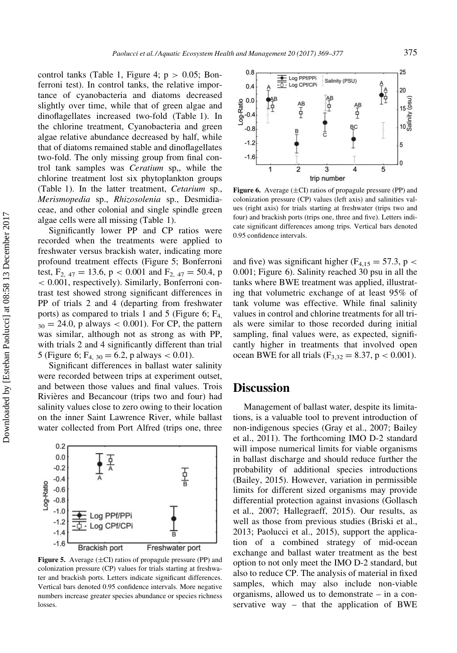control tanks (Table 1, Figure 4;  $p > 0.05$ ; Bonferroni test). In control tanks, the relative importance of cyanobacteria and diatoms decreased slightly over time, while that of green algae and dinoflagellates increased two-fold (Table 1). In the chlorine treatment, Cyanobacteria and green algae relative abundance decreased by half, while that of diatoms remained stable and dinoflagellates two-fold. The only missing group from final control tank samples was Ceratium sp,, while the chlorine treatment lost six phytoplankton groups (Table 1). In the latter treatment, Cetarium sp., Merismopedia sp., Rhizosolenia sp., Desmidiaceae, and other colonial and single spindle green algae cells were all missing (Table 1).

Significantly lower PP and CP ratios were recorded when the treatments were applied to freshwater versus brackish water, indicating more profound treatment effects (Figure 5; Bonferroni test,  $F_{2, 47} = 13.6$ , p < 0.001 and  $F_{2, 47} = 50.4$ , p < 0.001, respectively). Similarly, Bonferroni contrast test showed strong significant differences in PP of trials 2 and 4 (departing from freshwater ports) as compared to trials 1 and 5 (Figure 6;  $F_4$ ,  $_{30} = 24.0$ , p always  $< 0.001$ ). For CP, the pattern was similar, although not as strong as with PP, with trials 2 and 4 significantly different than trial 5 (Figure 6;  $F_{4, 30} = 6.2$ , p always  $< 0.01$ ).

Significant differences in ballast water salinity were recorded between trips at experiment outset, and between those values and final values. Trois Rivieres and Becancour (trips two and four) had salinity values close to zero owing to their location on the inner Saint Lawrence River, while ballast water collected from Port Alfred (trips one, three



Figure 5. Average  $(\pm C I)$  ratios of propagule pressure (PP) and colonization pressure (CP) values for trials starting at freshwater and brackish ports. Letters indicate significant differences. Vertical bars denoted 0.95 confidence intervals. More negative numbers increase greater species abundance or species richness losses.



Figure 6. Average  $(\pm C I)$  ratios of propagule pressure (PP) and colonization pressure (CP) values (left axis) and salinities values (right axis) for trials starting at freshwater (trips two and four) and brackish ports (trips one, three and five). Letters indicate significant differences among trips. Vertical bars denoted 0.95 confidence intervals.

and five) was significant higher ( $F_{4,15} = 57.3$ , p < 0.001; Figure 6). Salinity reached 30 psu in all the tanks where BWE treatment was applied, illustrating that volumetric exchange of at least 95% of tank volume was effective. While final salinity values in control and chlorine treatments for all trials were similar to those recorded during initial sampling, final values were, as expected, significantly higher in treatments that involved open ocean BWE for all trials ( $F_{3,32} = 8.37$ , p < 0.001).

#### Discussion

Management of ballast water, despite its limitations, is a valuable tool to prevent introduction of non-indigenous species (Gray et al., 2007; Bailey et al., 2011). The forthcoming IMO D-2 standard will impose numerical limits for viable organisms in ballast discharge and should reduce further the probability of additional species introductions (Bailey, 2015). However, variation in permissible limits for different sized organisms may provide differential protection against invasions (Gollasch et al., 2007; Hallegraeff, 2015). Our results, as well as those from previous studies (Briski et al., 2013; Paolucci et al., 2015), support the application of a combined strategy of mid-ocean exchange and ballast water treatment as the best option to not only meet the IMO D-2 standard, but also to reduce CP. The analysis of material in fixed samples, which may also include non-viable organisms, allowed us to demonstrate – in a conservative way – that the application of BWE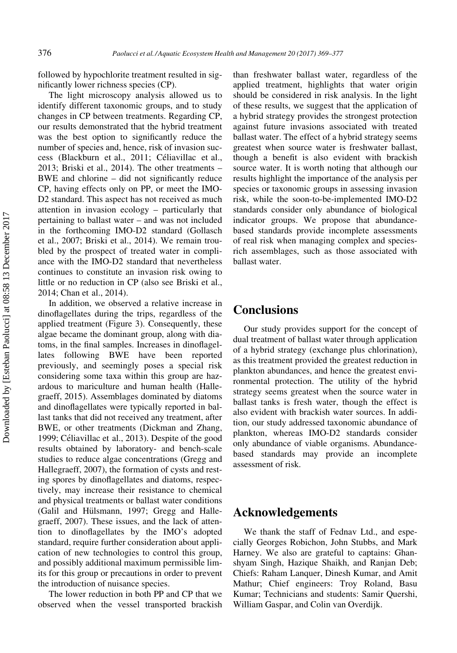followed by hypochlorite treatment resulted in significantly lower richness species (CP).

The light microscopy analysis allowed us to identify different taxonomic groups, and to study changes in CP between treatments. Regarding CP, our results demonstrated that the hybrid treatment was the best option to significantly reduce the number of species and, hence, risk of invasion success (Blackburn et al., 2011; Celiavillac et al., 2013; Briski et al., 2014). The other treatments – BWE and chlorine – did not significantly reduce CP, having effects only on PP, or meet the IMO-D2 standard. This aspect has not received as much attention in invasion ecology – particularly that pertaining to ballast water – and was not included in the forthcoming IMO-D2 standard (Gollasch et al., 2007; Briski et al., 2014). We remain troubled by the prospect of treated water in compliance with the IMO-D2 standard that nevertheless continues to constitute an invasion risk owing to little or no reduction in CP (also see Briski et al., 2014; Chan et al., 2014).

In addition, we observed a relative increase in dinoflagellates during the trips, regardless of the applied treatment (Figure 3). Consequently, these algae became the dominant group, along with diatoms, in the final samples. Increases in dinoflagellates following BWE have been reported previously, and seemingly poses a special risk considering some taxa within this group are hazardous to mariculture and human health (Hallegraeff, 2015). Assemblages dominated by diatoms and dinoflagellates were typically reported in ballast tanks that did not received any treatment, after BWE, or other treatments (Dickman and Zhang, 1999; Celiavillac et al., 2013). Despite of the good results obtained by laboratory- and bench-scale studies to reduce algae concentrations (Gregg and Hallegraeff, 2007), the formation of cysts and resting spores by dinoflagellates and diatoms, respectively, may increase their resistance to chemical and physical treatments or ballast water conditions (Galil and Hülsmann, 1997; Gregg and Hallegraeff, 2007). These issues, and the lack of attention to dinoflagellates by the IMO's adopted standard, require further consideration about application of new technologies to control this group, and possibly additional maximum permissible limits for this group or precautions in order to prevent the introduction of nuisance species.

The lower reduction in both PP and CP that we observed when the vessel transported brackish than freshwater ballast water, regardless of the applied treatment, highlights that water origin should be considered in risk analysis. In the light of these results, we suggest that the application of a hybrid strategy provides the strongest protection against future invasions associated with treated ballast water. The effect of a hybrid strategy seems greatest when source water is freshwater ballast, though a benefit is also evident with brackish source water. It is worth noting that although our results highlight the importance of the analysis per species or taxonomic groups in assessing invasion risk, while the soon-to-be-implemented IMO-D2 standards consider only abundance of biological indicator groups. We propose that abundancebased standards provide incomplete assessments of real risk when managing complex and speciesrich assemblages, such as those associated with ballast water.

#### **Conclusions**

Our study provides support for the concept of dual treatment of ballast water through application of a hybrid strategy (exchange plus chlorination), as this treatment provided the greatest reduction in plankton abundances, and hence the greatest environmental protection. The utility of the hybrid strategy seems greatest when the source water in ballast tanks is fresh water, though the effect is also evident with brackish water sources. In addition, our study addressed taxonomic abundance of plankton, whereas IMO-D2 standards consider only abundance of viable organisms. Abundancebased standards may provide an incomplete assessment of risk.

#### Acknowledgements

We thank the staff of Fednav Ltd., and especially Georges Robichon, John Stubbs, and Mark Harney. We also are grateful to captains: Ghanshyam Singh, Hazique Shaikh, and Ranjan Deb; Chiefs: Raham Lanquer, Dinesh Kumar, and Amit Mathur; Chief engineers: Troy Roland, Basu Kumar; Technicians and students: Samir Quershi, William Gaspar, and Colin van Overdijk.